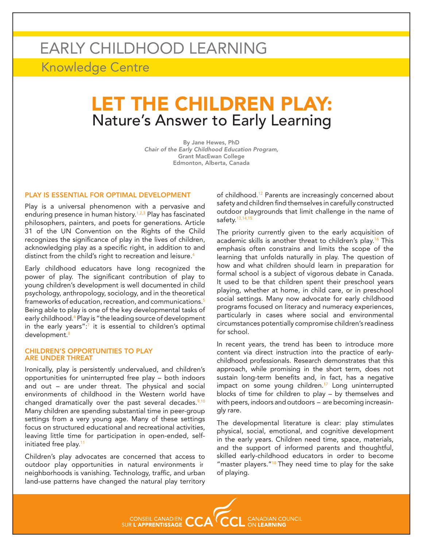# EARLY CHILDHOOD LEARNING Knowledge Centre

# LET THE CHILDREN PLAY: Nature's Answer to Early Learning

By Jane Hewes, PhD Chair of the Early Childhood Education Program, Grant MacEwan College Edmonton, Alberta, Canada

#### PLAY IS ESSENTIAL FOR OPTIMAL DEVELOPMENT

Play is a universal phenomenon with a pervasive and enduring presence in human history.<sup>1,2,3</sup> Play has fascinated philosophers, painters, and poets for generations. Article 31 of the UN Convention on the Rights of the Child recognizes the significance of play in the lives of children, acknowledging play as a specific right, in addition to and distinct from the child's right to recreation and leisure.<sup>4</sup>

Early childhood educators have long recognized the power of play. The significant contribution of play to young children's development is well documented in child psychology, anthropology, sociology, and in the theoretical frameworks of education, recreation, and communications.<sup>5</sup> Being able to play is one of the key developmental tasks of early childhood.<sup>6</sup> Play is "the leading source of development in the early years":<sup>7</sup> it is essential to children's optimal development.<sup>8</sup>

#### CHILDREN'S OPPORTUNITIES TO PLAY ARE UNDER THREAT

Ironically, play is persistently undervalued, and children's opportunities for uninterrupted free play – both indoors and out – are under threat. The physical and social environments of childhood in the Western world have changed dramatically over the past several decades. $9,10$ Many children are spending substantial time in peer-group settings from a very young age. Many of these settings focus on structured educational and recreational activities, leaving little time for participation in open-ended, selfinitiated free play.<sup>11</sup>

Children's play advocates are concerned that access to outdoor play opportunities in natural environments in neighborhoods is vanishing. Technology, traffic, and urban land-use patterns have changed the natural play territory

of childhood.<sup>12</sup> Parents are increasingly concerned about safety and children find themselves in carefully constructed outdoor playgrounds that limit challenge in the name of safety. $13,14,15$ 

The priority currently given to the early acquisition of academic skills is another threat to children's play.<sup>16</sup> This emphasis often constrains and limits the scope of the learning that unfolds naturally in play. The question of how and what children should learn in preparation for formal school is a subject of vigorous debate in Canada. It used to be that children spent their preschool years playing, whether at home, in child care, or in preschool social settings. Many now advocate for early childhood programs focused on literacy and numeracy experiences, particularly in cases where social and environmental circumstances potentially compromise children's readiness for school.

In recent years, the trend has been to introduce more content via direct instruction into the practice of earlychildhood professionals. Research demonstrates that this approach, while promising in the short term, does not sustain long-term benefits and, in fact, has a negative impact on some young children.<sup>17</sup> Long uninterrupted blocks of time for children to play – by themselves and with peers, indoors and outdoors – are becoming increasingly rare.

The developmental literature is clear: play stimulates physical, social, emotional, and cognitive development in the early years. Children need time, space, materials, and the support of informed parents and thoughtful, skilled early-childhood educators in order to become "master players."<sup>18</sup> They need time to play for the sake of playing.

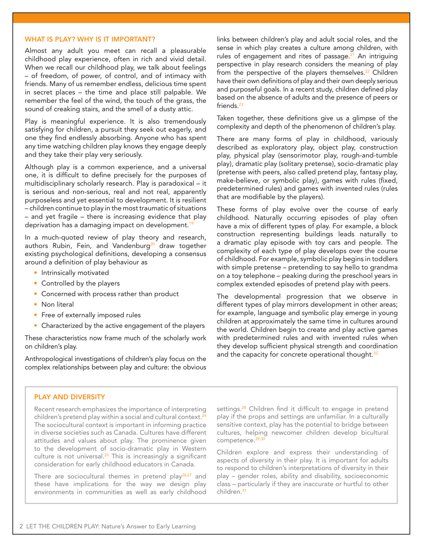# WHAT IS PLAY? WHY IS IT IMPORTANT?

Almost any adult you meet can recall a pleasurable childhood play experience, often in rich and vivid detail. When we recall our childhood play, we talk about feelings – of freedom, of power, of control, and of intimacy with friends. Many of us remember endless, delicious time spent in secret places – the time and place still palpable. We remember the feel of the wind, the touch of the grass, the sound of creaking stairs, and the smell of a dusty attic.

Play is meaningful experience. It is also tremendously satisfying for children, a pursuit they seek out eagerly, and one they find endlessly absorbing. Anyone who has spent any time watching children play knows they engage deeply and they take their play very seriously.

Although play is a common experience, and a universal one, it is difficult to define precisely for the purposes of multidisciplinary scholarly research. Play is paradoxical – it is serious and non-serious, real and not real, apparently purposeless and yet essential to development. It is resilient – children continue to play in the most traumatic of situations – and yet fragile – there is increasing evidence that play deprivation has a damaging impact on development.<sup>19</sup>

In a much-quoted review of play theory and research, authors Rubin, Fein, and Vandenburg<sup>20</sup> draw together existing psychological definitions, developing a consensus around a definition of play behaviour as

- Intrinsically motivated
- Controlled by the players
- Concerned with process rather than product
- Non literal
- Free of externally imposed rules
- Characterized by the active engagement of the players

These characteristics now frame much of the scholarly work on children's play.

Anthropological investigations of children's play focus on the complex relationships between play and culture: the obvious links between children's play and adult social roles, and the sense in which play creates a culture among children, with rules of engagement and rites of passage.<sup>21</sup> An intriguing perspective in play research considers the meaning of play from the perspective of the players themselves.<sup>22</sup> Children have their own definitions of play and their own deeply serious and purposeful goals. In a recent study, children defined play based on the absence of adults and the presence of peers or friends.<sup>23</sup>

Taken together, these definitions give us a glimpse of the complexity and depth of the phenomenon of children's play.

There are many forms of play in childhood, variously described as exploratory play, object play, construction play, physical play (sensorimotor play, rough-and-tumble play), dramatic play (solitary pretense), socio-dramatic play (pretense with peers, also called pretend play, fantasy play, make-believe, or symbolic play), games with rules (fixed, predetermined rules) and games with invented rules (rules that are modifiable by the players).

These forms of play evolve over the course of early childhood. Naturally occurring episodes of play often have a mix of different types of play. For example, a block construction representing buildings leads naturally to a dramatic play episode with toy cars and people. The complexity of each type of play develops over the course of childhood. For example, symbolic play begins in toddlers with simple pretense – pretending to say hello to grandma on a toy telephone – peaking during the preschool years in complex extended episodes of pretend play with peers.

The developmental progression that we observe in different types of play mirrors development in other areas; for example, language and symbolic play emerge in young children at approximately the same time in cultures around the world. Children begin to create and play active games with predetermined rules and with invented rules when they develop sufficient physical strength and coordination and the capacity for concrete operational thought.<sup>32</sup>

## PLAY AND DIVERSITY

Recent research emphasizes the importance of interpreting children's pretend play within a social and cultural context.<sup>24</sup> The sociocultural context is important in informing practice in diverse societies such as Canada. Cultures have different attitudes and values about play. The prominence given to the development of socio-dramatic play in Western culture is not universal.<sup>25</sup> This is increasingly a significant consideration for early childhood educators in Canada.

There are sociocultural themes in pretend play $26.27$  and these have implications for the way we design play environments in communities as well as early childhood settings.<sup>28</sup> Children find it difficult to engage in pretend play if the props and settings are unfamiliar. In a culturally sensitive context, play has the potential to bridge between cultures, helping newcomer children develop bicultural competence.29,30

Children explore and express their understanding of aspects of diversity in their play. It is important for adults to respond to children's interpretations of diversity in their play – gender roles, ability and disability, socioeconomic class – particularly if they are inaccurate or hurtful to other children.31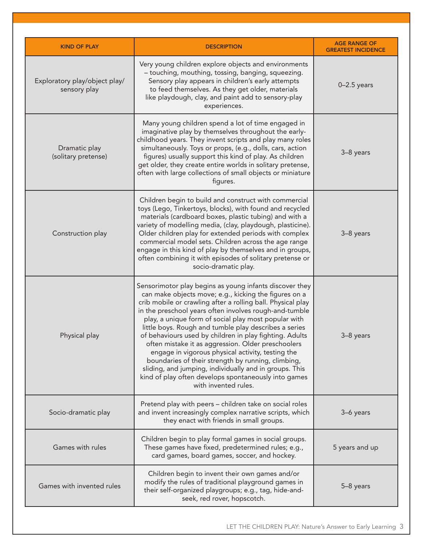| <b>KIND OF PLAY</b>                           | <b>DESCRIPTION</b>                                                                                                                                                                                                                                                                                                                                                                                                                                                                                                                                                                                                                                                                                                               | <b>AGE RANGE OF</b><br><b>GREATEST INCIDENCE</b> |
|-----------------------------------------------|----------------------------------------------------------------------------------------------------------------------------------------------------------------------------------------------------------------------------------------------------------------------------------------------------------------------------------------------------------------------------------------------------------------------------------------------------------------------------------------------------------------------------------------------------------------------------------------------------------------------------------------------------------------------------------------------------------------------------------|--------------------------------------------------|
| Exploratory play/object play/<br>sensory play | Very young children explore objects and environments<br>- touching, mouthing, tossing, banging, squeezing.<br>Sensory play appears in children's early attempts<br>to feed themselves. As they get older, materials<br>like playdough, clay, and paint add to sensory-play<br>experiences.                                                                                                                                                                                                                                                                                                                                                                                                                                       | $0-2.5$ years                                    |
| Dramatic play<br>(solitary pretense)          | Many young children spend a lot of time engaged in<br>imaginative play by themselves throughout the early-<br>childhood years. They invent scripts and play many roles<br>simultaneously. Toys or props, (e.g., dolls, cars, action<br>figures) usually support this kind of play. As children<br>get older, they create entire worlds in solitary pretense,<br>often with large collections of small objects or miniature<br>figures.                                                                                                                                                                                                                                                                                           | 3-8 years                                        |
| Construction play                             | Children begin to build and construct with commercial<br>toys (Lego, Tinkertoys, blocks), with found and recycled<br>materials (cardboard boxes, plastic tubing) and with a<br>variety of modelling media, (clay, playdough, plasticine).<br>Older children play for extended periods with complex<br>commercial model sets. Children across the age range<br>engage in this kind of play by themselves and in groups,<br>often combining it with episodes of solitary pretense or<br>socio-dramatic play.                                                                                                                                                                                                                       | 3-8 years                                        |
| Physical play                                 | Sensorimotor play begins as young infants discover they<br>can make objects move; e.g., kicking the figures on a<br>crib mobile or crawling after a rolling ball. Physical play<br>in the preschool years often involves rough-and-tumble<br>play, a unique form of social play most popular with<br>little boys. Rough and tumble play describes a series<br>of behaviours used by children in play fighting. Adults<br>often mistake it as aggression. Older preschoolers<br>engage in vigorous physical activity, testing the<br>boundaries of their strength by running, climbing,<br>sliding, and jumping, individually and in groups. This<br>kind of play often develops spontaneously into games<br>with invented rules. | 3-8 years                                        |
| Socio-dramatic play                           | Pretend play with peers – children take on social roles<br>and invent increasingly complex narrative scripts, which<br>they enact with friends in small groups.                                                                                                                                                                                                                                                                                                                                                                                                                                                                                                                                                                  | 3-6 years                                        |
| Games with rules                              | Children begin to play formal games in social groups.<br>These games have fixed, predetermined rules; e.g.,<br>card games, board games, soccer, and hockey.                                                                                                                                                                                                                                                                                                                                                                                                                                                                                                                                                                      | 5 years and up                                   |
| Games with invented rules                     | Children begin to invent their own games and/or<br>modify the rules of traditional playground games in<br>their self-organized playgroups; e.g., tag, hide-and-<br>seek, red rover, hopscotch.                                                                                                                                                                                                                                                                                                                                                                                                                                                                                                                                   | 5-8 years                                        |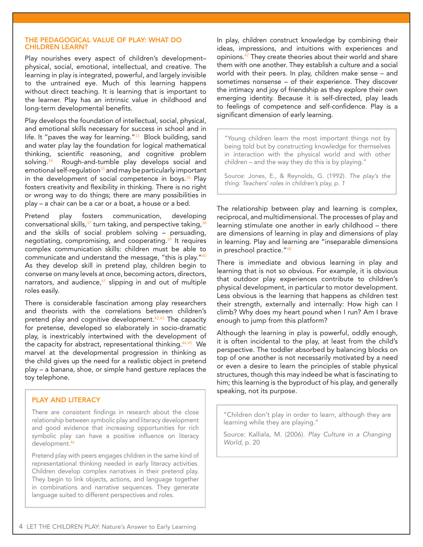#### THE PEDAGOGICAL VALUE OF PLAY: WHAT DO CHILDREN LEARN?

Play nourishes every aspect of children's development– physical, social, emotional, intellectual, and creative. The learning in play is integrated, powerful, and largely invisible to the untrained eye. Much of this learning happens without direct teaching. It is learning that is important to the learner. Play has an intrinsic value in childhood and long-term developmental benefits.

Play develops the foundation of intellectual, social, physical, and emotional skills necessary for success in school and in life. It "paves the way for learning." $33$  Block building, sand and water play lay the foundation for logical mathematical thinking, scientific reasoning, and cognitive problem solving.<sup>34</sup> Rough-and-tumble play develops social and emotional self-regulation $35$  and may be particularly important in the development of social competence in boys. $36$  Play fosters creativity and flexibility in thinking. There is no right or wrong way to do things; there are many possibilities in play – a chair can be a car or a boat, a house or a bed.

Pretend play fosters communication, developing conversational skills, $37$  turn taking, and perspective taking,  $38$ and the skills of social problem solving – persuading, negotiating, compromising, and cooperating.<sup>39</sup> It requires complex communication skills: children must be able to communicate and understand the message, "this is play."40 As they develop skill in pretend play, children begin to converse on many levels at once, becoming actors, directors, narrators, and audience, $41$  slipping in and out of multiple roles easily.

There is considerable fascination among play researchers and theorists with the correlations between children's pretend play and cognitive development.<sup>42,43</sup> The capacity for pretense, developed so elaborately in socio-dramatic play, is inextricably intertwined with the development of the capacity for abstract, representational thinking.<sup>44,45</sup> We marvel at the developmental progression in thinking as the child gives up the need for a realistic object in pretend play – a banana, shoe, or simple hand gesture replaces the toy telephone.

## PLAY AND LITERACY

There are consistent findings in research about the close relationship between symbolic play and literacy development and good evidence that increasing opportunities for rich symbolic play can have a positive influence on literacy development.<sup>46</sup>

Pretend play with peers engages children in the same kind of representational thinking needed in early literacy activities. Children develop complex narratives in their pretend play. They begin to link objects, actions, and language together in combinations and narrative sequences. They generate language suited to different perspectives and roles.

In play, children construct knowledge by combining their ideas, impressions, and intuitions with experiences and opinions.<sup>47</sup> They create theories about their world and share them with one another. They establish a culture and a social world with their peers. In play, children make sense – and sometimes nonsense – of their experience. They discover the intimacy and joy of friendship as they explore their own emerging identity. Because it is self-directed, play leads to feelings of competence and self-confidence. Play is a significant dimension of early learning.

"Young children learn the most important things not by being told but by constructing knowledge for themselves in interaction with the physical world and with other children – and the way they do this is by playing."

Source: Jones, E., & Reynolds, G. (1992). The play's the thing: Teachers' roles in children's play, p. 1

The relationship between play and learning is complex, reciprocal, and multidimensional. The processes of play and learning stimulate one another in early childhood – there are dimensions of learning in play and dimensions of play in learning. Play and learning are "inseparable dimensions in preschool practice."48

There is immediate and obvious learning in play and learning that is not so obvious. For example, it is obvious that outdoor play experiences contribute to children's physical development, in particular to motor development. Less obvious is the learning that happens as children test their strength, externally and internally: How high can I climb? Why does my heart pound when I run? Am I brave enough to jump from this platform?

Although the learning in play is powerful, oddly enough, it is often incidental to the play, at least from the child's perspective. The toddler absorbed by balancing blocks on top of one another is not necessarily motivated by a need or even a desire to learn the principles of stable physical structures, though this may indeed be what is fascinating to him; this learning is the byproduct of his play, and generally speaking, not its purpose.

"Children don't play in order to learn, although they are learning while they are playing."

Source: Kalliala, M. (2006). Play Culture in a Changing World, p. 20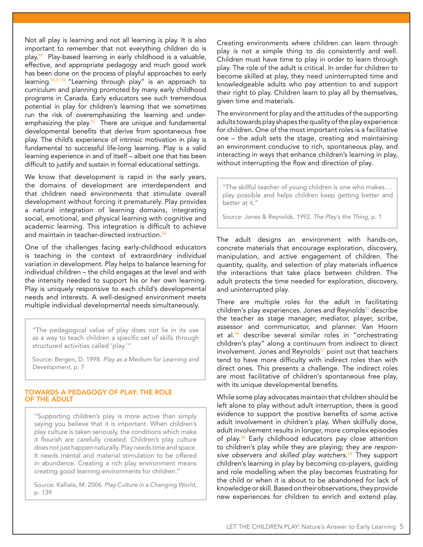Not all play is learning and not all learning is play. It is also important to remember that not everything children do is play.49 Play-based learning in early childhood is a valuable, effective, and appropriate pedagogy and much good work has been done on the process of playful approaches to early learning.50,51,52 "Learning through play" is an approach to curriculum and planning promoted by many early childhood programs in Canada. Early educators see such tremendous potential in play for children's learning that we sometimes run the risk of overemphasizing the learning and underemphasizing the play. $53$  There are unique and fundamental developmental benefits that derive from spontaneous free play. The child's experience of intrinsic motivation in play is fundamental to successful life-long learning. Play is a valid learning experience in and of itself – albeit one that has been difficult to justify and sustain in formal educational settings.

We know that development is rapid in the early years, the domains of development are interdependent and that children need environments that stimulate overall development without forcing it prematurely. Play provides a natural integration of learning domains, integrating social, emotional, and physical learning with cognitive and academic learning. This integration is difficult to achieve and maintain in teacher-directed instruction.<sup>54</sup>

One of the challenges facing early-childhood educators is teaching in the context of extraordinary individual variation in development. Play helps to balance learning for individual children – the child engages at the level and with the intensity needed to support his or her own learning. Play is uniquely responsive to each child's developmental needs and interests. A well-designed environment meets multiple individual developmental needs simultaneously.

"The pedagogical value of play does not lie in its use as a way to teach children a specific set of skills through structured activities called 'play.'"

Source: Bergen, D. 1998. Play as a Medium for Learning and Development, p. 7

### TOWARDS A PEDAGOGY OF PLAY: THE ROLE OF THE ADULT

"Supporting children's play is more active than simply saying you believe that it is important. When children's play culture is taken seriously, the conditions which make it flourish are carefully created. Children's play culture does not just happen naturally. Play needs time and space. It needs mental and material stimulation to be offered in abundance. Creating a rich play environment means creating good learning environments for children."

Source: Kalliala, M. 2006. Play Culture in a Changing World, p. 139

Creating environments where children can learn through play is not a simple thing to do consistently and well. Children must have time to play in order to learn through play. The role of the adult is critical. In order for children to become skilled at play, they need uninterrupted time and knowledgeable adults who pay attention to and support their right to play. Children learn to play all by themselves, given time and materials.

The environment for play and the attitudes of the supporting adults towards play shapes the quality of the play experience for children. One of the most important roles is a facilitative one – the adult sets the stage, creating and maintaining an environment conducive to rich, spontaneous play, and interacting in ways that enhance children's learning in play, without interrupting the flow and direction of play.

"The skillful teacher of young children is one who makes…. play possible and helps children keep getting better and better at it."

Source: Jones & Reynolds. 1992. The Play's the Thing, p. 1

The adult designs an environment with hands-on, concrete materials that encourage exploration, discovery, manipulation, and active engagement of children. The quantity, quality, and selection of play materials influence the interactions that take place between children. The adult protects the time needed for exploration, discovery, and uninterrupted play.

There are multiple roles for the adult in facilitating children's play experiences. Jones and Reynolds<sup>55</sup> describe the teacher as stage manager, mediator, player, scribe, assessor and communicator, and planner. Van Hoorn et al.<sup>56</sup> describe several similar roles in "orchestrating children's play" along a continuum from indirect to direct involvement. Jones and Reynolds<sup>57</sup> point out that teachers tend to have more difficulty with indirect roles than with direct ones. This presents a challenge. The indirect roles are most facilitative of children's spontaneous free play, with its unique developmental benefits.

While some play advocates maintain that children should be left alone to play without adult interruption, there is good evidence to support the positive benefits of some active adult involvement in children's play. When skillfully done, adult involvement results in longer, more complex episodes of play.<sup>58</sup> Early childhood educators pay close attention to children's play while they are playing; they are responsive observers and skilled play watchers.<sup>59</sup> They support children's learning in play by becoming co-players, guiding and role modelling when the play becomes frustrating for the child or when it is about to be abandoned for lack of knowledge or skill. Based on their observations, they provide new experiences for children to enrich and extend play.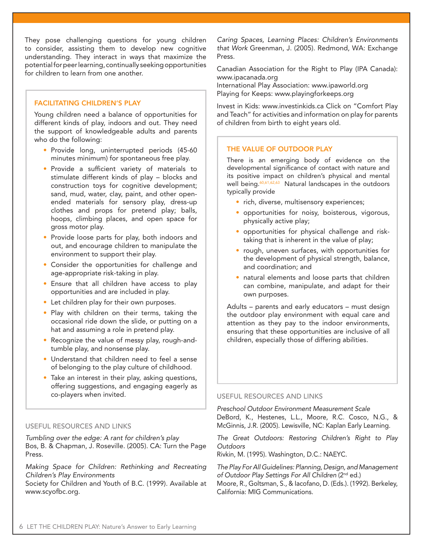They pose challenging questions for young children to consider, assisting them to develop new cognitive understanding. They interact in ways that maximize the potential for peer learning, continually seeking opportunities for children to learn from one another.

# FACILITATING CHILDREN'S PLAY

Young children need a balance of opportunities for different kinds of play, indoors and out. They need the support of knowledgeable adults and parents who do the following:

- Provide long, uninterrupted periods (45-60 minutes minimum) for spontaneous free play.
- Provide a sufficient variety of materials to stimulate different kinds of play – blocks and construction toys for cognitive development; sand, mud, water, clay, paint, and other openended materials for sensory play, dress-up clothes and props for pretend play; balls, hoops, climbing places, and open space for gross motor play.
- Provide loose parts for play, both indoors and out, and encourage children to manipulate the environment to support their play.
- Consider the opportunities for challenge and age-appropriate risk-taking in play.
- Ensure that all children have access to play opportunities and are included in play.
- Let children play for their own purposes.
- Play with children on their terms, taking the occasional ride down the slide, or putting on a hat and assuming a role in pretend play.
- Recognize the value of messy play, rough-andtumble play, and nonsense play.
- Understand that children need to feel a sense of belonging to the play culture of childhood.
- Take an interest in their play, asking questions, offering suggestions, and engaging eagerly as co-players when invited.

#### USEFUL RESOURCES AND LINKS

Tumbling over the edge: A rant for children's play Bos, B. & Chapman, J. Roseville. (2005). CA: Turn the Page Press.

Making Space for Children: Rethinking and Recreating Children's Play Environments

Society for Children and Youth of B.C. (1999). Available at www.scyofbc.org.

Caring Spaces, Learning Places: Children's Environments that Work Greenman, J. (2005). Redmond, WA: Exchange Press.

Canadian Association for the Right to Play (IPA Canada): www.ipacanada.org

International Play Association: www.ipaworld.org Playing for Keeps: www.playingforkeeps.org

Invest in Kids: www.investinkids.ca Click on "Comfort Play and Teach" for activities and information on play for parents of children from birth to eight years old.

### THE VALUE OF OUTDOOR PLAY

There is an emerging body of evidence on the developmental significance of contact with nature and its positive impact on children's physical and mental well being.<sup>60,61,62,63</sup> Natural landscapes in the outdoors typically provide

- rich, diverse, multisensory experiences;
- opportunities for noisy, boisterous, vigorous, physically active play;
- opportunities for physical challenge and risktaking that is inherent in the value of play;
- rough, uneven surfaces, with opportunities for the development of physical strength, balance, and coordination; and
- natural elements and loose parts that children can combine, manipulate, and adapt for their own purposes.

Adults – parents and early educators – must design the outdoor play environment with equal care and attention as they pay to the indoor environments, ensuring that these opportunities are inclusive of all children, especially those of differing abilities.

### USEFUL RESOURCES AND LINKS

Preschool Outdoor Environment Measurement Scale DeBord, K., Hestenes, L.L., Moore, R.C. Cosco, N.G., & McGinnis, J.R. (2005). Lewisville, NC: Kaplan Early Learning.

The Great Outdoors: Restoring Children's Right to Play **Outdoors** 

Rivkin, M. (1995). Washington, D.C.: NAEYC.

The Play For All Guidelines: Planning, Design, and Management of Outdoor Play Settings For All Children (2<sup>nd</sup> ed.) Moore, R., Goltsman, S., & Iacofano, D. (Eds.). (1992). Berkeley, California: MIG Communications.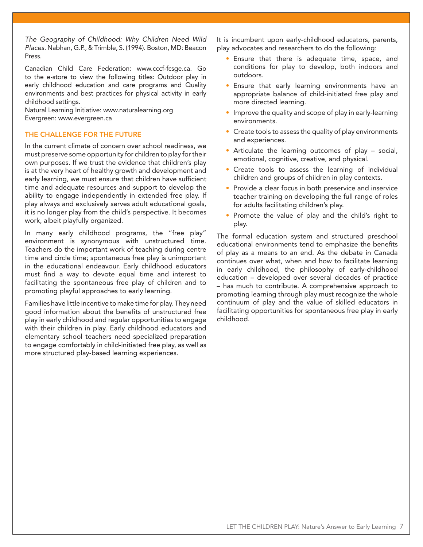The Geography of Childhood: Why Children Need Wild Places. Nabhan, G.P., & Trimble, S. (1994). Boston, MD: Beacon Press.

Canadian Child Care Federation: www.cccf-fcsge.ca. Go to the e-store to view the following titles: Outdoor play in early childhood education and care programs and Quality environments and best practices for physical activity in early childhood settings.

Natural Learning Initiative: www.naturalearning.org Evergreen: www.evergreen.ca

# THE CHALLENGE FOR THE FUTURE

In the current climate of concern over school readiness, we must preserve some opportunity for children to play for their own purposes. If we trust the evidence that children's play is at the very heart of healthy growth and development and early learning, we must ensure that children have sufficient time and adequate resources and support to develop the ability to engage independently in extended free play. If play always and exclusively serves adult educational goals, it is no longer play from the child's perspective. It becomes work, albeit playfully organized.

In many early childhood programs, the "free play" environment is synonymous with unstructured time. Teachers do the important work of teaching during centre time and circle time; spontaneous free play is unimportant in the educational endeavour. Early childhood educators must find a way to devote equal time and interest to facilitating the spontaneous free play of children and to promoting playful approaches to early learning.

Families have little incentive to make time for play. They need good information about the benefits of unstructured free play in early childhood and regular opportunities to engage with their children in play. Early childhood educators and elementary school teachers need specialized preparation to engage comfortably in child-initiated free play, as well as more structured play-based learning experiences.

It is incumbent upon early-childhood educators, parents, play advocates and researchers to do the following:

- Ensure that there is adequate time, space, and conditions for play to develop, both indoors and outdoors.
- Ensure that early learning environments have an appropriate balance of child-initiated free play and more directed learning.
- Improve the quality and scope of play in early-learning environments.
- Create tools to assess the quality of play environments and experiences.
- Articulate the learning outcomes of play social, emotional, cognitive, creative, and physical.
- Create tools to assess the learning of individual children and groups of children in play contexts.
- Provide a clear focus in both preservice and inservice teacher training on developing the full range of roles for adults facilitating children's play.
- Promote the value of play and the child's right to play.

The formal education system and structured preschool educational environments tend to emphasize the benefits of play as a means to an end. As the debate in Canada continues over what, when and how to facilitate learning in early childhood, the philosophy of early-childhood education – developed over several decades of practice – has much to contribute. A comprehensive approach to promoting learning through play must recognize the whole continuum of play and the value of skilled educators in facilitating opportunities for spontaneous free play in early childhood.